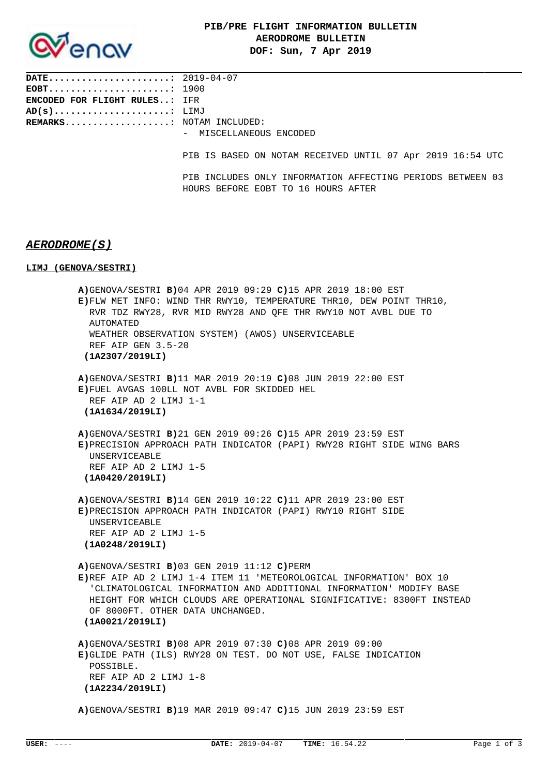

**DATE......................:** 2019-04-07 **EOBT......................:** 1900 **ENCODED FOR FLIGHT RULES..:** IFR **AD(s).....................:** LIMJ **REMARKS...................:** NOTAM INCLUDED: - MISCELLANEOUS ENCODED PIB IS BASED ON NOTAM RECEIVED UNTIL 07 Apr 2019 16:54 UTC PIB INCLUDES ONLY INFORMATION AFFECTING PERIODS BETWEEN 03 HOURS BEFORE EOBT TO 16 HOURS AFTER

## **AERODROME(S)**

## **LIMJ (GENOVA/SESTRI)**

**A)**GENOVA/SESTRI **B)**04 APR 2019 09:29 **C)**15 APR 2019 18:00 EST **E)**FLW MET INFO: WIND THR RWY10, TEMPERATURE THR10, DEW POINT THR10, RVR TDZ RWY28, RVR MID RWY28 AND QFE THR RWY10 NOT AVBL DUE TO **AUTOMATED** WEATHER OBSERVATION SYSTEM) (AWOS) UNSERVICEABLE REF AIP GEN 3.5-20  **(1A2307/2019LI) A)**GENOVA/SESTRI **B)**11 MAR 2019 20:19 **C)**08 JUN 2019 22:00 EST **E)**FUEL AVGAS 100LL NOT AVBL FOR SKIDDED HEL REF AIP AD 2 LIMJ 1-1  **(1A1634/2019LI) A)**GENOVA/SESTRI **B)**21 GEN 2019 09:26 **C)**15 APR 2019 23:59 EST **E)**PRECISION APPROACH PATH INDICATOR (PAPI) RWY28 RIGHT SIDE WING BARS UNSERVICEABLE REF AIP AD 2 LIMJ 1-5  **(1A0420/2019LI) A)**GENOVA/SESTRI **B)**14 GEN 2019 10:22 **C)**11 APR 2019 23:00 EST **E)**PRECISION APPROACH PATH INDICATOR (PAPI) RWY10 RIGHT SIDE UNSERVICEABLE REF AIP AD 2 LIMJ 1-5  **(1A0248/2019LI) A)**GENOVA/SESTRI **B)**03 GEN 2019 11:12 **C)**PERM **E)**REF AIP AD 2 LIMJ 1-4 ITEM 11 'METEOROLOGICAL INFORMATION' BOX 10 'CLIMATOLOGICAL INFORMATION AND ADDITIONAL INFORMATION' MODIFY BASE HEIGHT FOR WHICH CLOUDS ARE OPERATIONAL SIGNIFICATIVE: 8300FT INSTEAD OF 8000FT. OTHER DATA UNCHANGED.  **(1A0021/2019LI) A)**GENOVA/SESTRI **B)**08 APR 2019 07:30 **C)**08 APR 2019 09:00 **E)**GLIDE PATH (ILS) RWY28 ON TEST. DO NOT USE, FALSE INDICATION POSSIBLE. REF AIP AD 2 LIMJ 1-8  **(1A2234/2019LI)**

**A)**GENOVA/SESTRI **B)**19 MAR 2019 09:47 **C)**15 JUN 2019 23:59 EST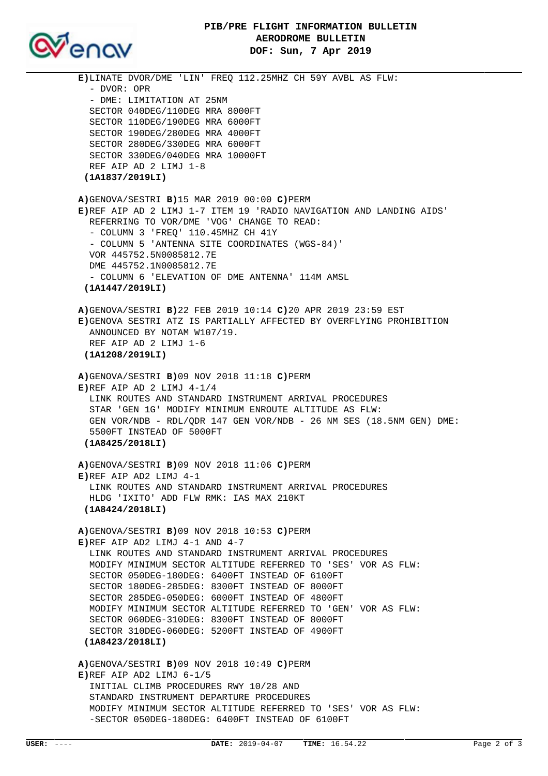

**E)**LINATE DVOR/DME 'LIN' FREQ 112.25MHZ CH 59Y AVBL AS FLW: - DVOR: OPR - DME: LIMITATION AT 25NM SECTOR 040DEG/110DEG MRA 8000FT SECTOR 110DEG/190DEG MRA 6000FT SECTOR 190DEG/280DEG MRA 4000FT SECTOR 280DEG/330DEG MRA 6000FT SECTOR 330DEG/040DEG MRA 10000FT REF AIP AD 2 LIMJ 1-8  **(1A1837/2019LI) A)**GENOVA/SESTRI **B)**15 MAR 2019 00:00 **C)**PERM **E)**REF AIP AD 2 LIMJ 1-7 ITEM 19 'RADIO NAVIGATION AND LANDING AIDS' REFERRING TO VOR/DME 'VOG' CHANGE TO READ: - COLUMN 3 'FREQ' 110.45MHZ CH 41Y - COLUMN 5 'ANTENNA SITE COORDINATES (WGS-84)' VOR 445752.5N0085812.7E DME 445752.1N0085812.7E - COLUMN 6 'ELEVATION OF DME ANTENNA' 114M AMSL  **(1A1447/2019LI) A)**GENOVA/SESTRI **B)**22 FEB 2019 10:14 **C)**20 APR 2019 23:59 EST **E)**GENOVA SESTRI ATZ IS PARTIALLY AFFECTED BY OVERFLYING PROHIBITION ANNOUNCED BY NOTAM W107/19. REF AIP AD 2 LIMJ 1-6  **(1A1208/2019LI) A)**GENOVA/SESTRI **B)**09 NOV 2018 11:18 **C)**PERM **E)**REF AIP AD 2 LIMJ 4-1/4 LINK ROUTES AND STANDARD INSTRUMENT ARRIVAL PROCEDURES STAR 'GEN 1G' MODIFY MINIMUM ENROUTE ALTITUDE AS FLW: GEN VOR/NDB - RDL/QDR 147 GEN VOR/NDB - 26 NM SES (18.5NM GEN) DME: 5500FT INSTEAD OF 5000FT  **(1A8425/2018LI) A)**GENOVA/SESTRI **B)**09 NOV 2018 11:06 **C)**PERM **E)**REF AIP AD2 LIMJ 4-1 LINK ROUTES AND STANDARD INSTRUMENT ARRIVAL PROCEDURES HLDG 'IXITO' ADD FLW RMK: IAS MAX 210KT  **(1A8424/2018LI) A)**GENOVA/SESTRI **B)**09 NOV 2018 10:53 **C)**PERM **E)**REF AIP AD2 LIMJ 4-1 AND 4-7 LINK ROUTES AND STANDARD INSTRUMENT ARRIVAL PROCEDURES MODIFY MINIMUM SECTOR ALTITUDE REFERRED TO 'SES' VOR AS FLW: SECTOR 050DEG-180DEG: 6400FT INSTEAD OF 6100FT SECTOR 180DEG-285DEG: 8300FT INSTEAD OF 8000FT SECTOR 285DEG-050DEG: 6000FT INSTEAD OF 4800FT MODIFY MINIMUM SECTOR ALTITUDE REFERRED TO 'GEN' VOR AS FLW: SECTOR 060DEG-310DEG: 8300FT INSTEAD OF 8000FT SECTOR 310DEG-060DEG: 5200FT INSTEAD OF 4900FT  **(1A8423/2018LI) A)**GENOVA/SESTRI **B)**09 NOV 2018 10:49 **C)**PERM **E)**REF AIP AD2 LIMJ 6-1/5 INITIAL CLIMB PROCEDURES RWY 10/28 AND STANDARD INSTRUMENT DEPARTURE PROCEDURES MODIFY MINIMUM SECTOR ALTITUDE REFERRED TO 'SES' VOR AS FLW: -SECTOR 050DEG-180DEG: 6400FT INSTEAD OF 6100FT